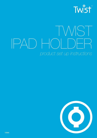

# TWIST IPAD HOLDER *product set up instructions*

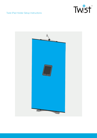

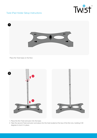



Place the Twist base on the floor.



1. Place the first Twist extrusion into the base.

2. Take the second Twist extrusion and place into the hole located at the top of the first one, twisting it 90 degrees to lock it in place.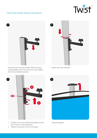## Tw:st

### Twist iPad Holder Setup Instructions



Insert iPad arm into the middle TWIST extrusion. Loosely tighten one of the screws to stop it falling down the complete extrusion.



Attach top Twist extrusion.



- 1. Position the arm so that the bolt aligns with the join of the two Twist extrusions.
- 2. Tighten the screws to lock it into place.



Hang the graphic.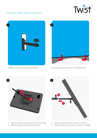



Carefully, push the arm through the graphic.



Pull down graphic and attach to the TWIST base.



- 1. Take the metal rod and connect to the iPad holder.
- 2. Secure it in place by tightening the screw.



- 1. Take the iPad holder and connect it to the arm.
- 2. Tighten the screw on the arm to secure it into place.